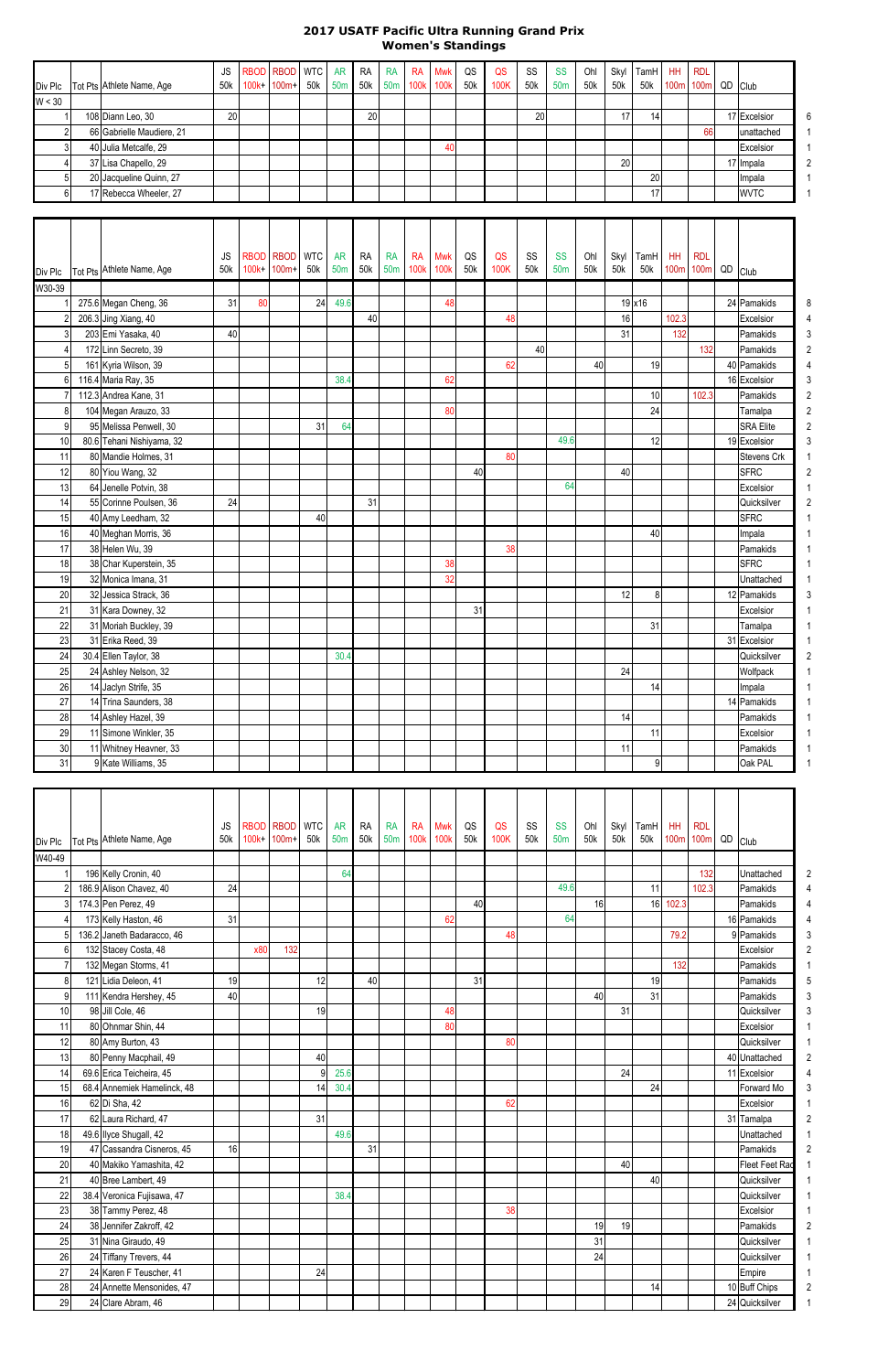## **2017 USATF Pacific Ultra Running Grand Prix Women's Standings**

|         |                           | JS              | RBOD RBOD WTC AR RA RA |     |                 |  | RA Mwk            | QS  | QS   | <b>SS</b>       | <b>SS</b>       | Ohl | Skyl | TamH HH         | RDL                   |              |   |
|---------|---------------------------|-----------------|------------------------|-----|-----------------|--|-------------------|-----|------|-----------------|-----------------|-----|------|-----------------|-----------------------|--------------|---|
| Div Plc | Tot Pts Athlete Name, Age | 50 <sub>k</sub> | 100k+ 100m+ 50k        | 50m |                 |  | 50k 50m 100k 100k | 50k | 100K | 50 <sub>k</sub> | 50 <sub>m</sub> | 50k | 50k  |                 | 50k 100m 100m QD Club |              |   |
| W < 30  |                           |                 |                        |     |                 |  |                   |     |      |                 |                 |     |      |                 |                       |              |   |
|         | 108 Diann Leo, 30         | 20              |                        |     | 20 <sup>1</sup> |  |                   |     |      | 20              |                 |     |      | 141             |                       | 17 Excelsior | 6 |
|         | 66 Gabrielle Maudiere, 21 |                 |                        |     |                 |  |                   |     |      |                 |                 |     |      |                 | 66                    | lunattached  |   |
|         | 40 Julia Metcalfe, 29     |                 |                        |     |                 |  | 40                |     |      |                 |                 |     |      |                 |                       | Excelsior    |   |
|         | 37 Lisa Chapello, 29      |                 |                        |     |                 |  |                   |     |      |                 |                 |     | 20   |                 |                       | 17 Impala    |   |
|         | 20 Jacqueline Quinn, 27   |                 |                        |     |                 |  |                   |     |      |                 |                 |     |      | 20 <sup>1</sup> |                       | Impala       |   |
|         | 17 Rebecca Wheeler, 27    |                 |                        |     |                 |  |                   |     |      |                 |                 |     |      | 17 <sup>1</sup> |                       | <b>WVTC</b>  |   |

|         |                           | <b>JS</b> |         | RBOD RBOD WTC |     | <b>AR</b>       | <b>RA</b> | <b>RA</b> | <b>RA</b>        | <b>Mwk</b>  | QS  | QS   | SS  | <b>SS</b>       | Ohl | Skyl | TamH           | HH               | <b>RDL</b>   |                    |   |
|---------|---------------------------|-----------|---------|---------------|-----|-----------------|-----------|-----------|------------------|-------------|-----|------|-----|-----------------|-----|------|----------------|------------------|--------------|--------------------|---|
| Div Plc | Tot Pts Athlete Name, Age | 50k       | $100k+$ | $100m+$       | 50k | 50 <sub>m</sub> | 50k       | 50m       | 100 <sub>k</sub> | <b>100k</b> | 50k | 100K | 50k | 50 <sub>m</sub> | 50k | 50k  | 50k            | 100 <sub>m</sub> | 100m QD Club |                    |   |
| W30-39  |                           |           |         |               |     |                 |           |           |                  |             |     |      |     |                 |     |      |                |                  |              |                    |   |
|         | 275.6 Megan Cheng, 36     | 31        | 80      |               | 24  | 49.6            |           |           |                  | 48          |     |      |     |                 |     |      | 19 x16         |                  |              | 24 Pamakids        | 8 |
|         | 206.3 Jing Xiang, 40      |           |         |               |     |                 | 40        |           |                  |             |     | 48   |     |                 |     | 16   |                | 102.3            |              | Excelsior          |   |
|         | 203 Emi Yasaka, 40        | 40        |         |               |     |                 |           |           |                  |             |     |      |     |                 |     | 31   |                | 132              |              | Pamakids           |   |
|         | 172 Linn Secreto, 39      |           |         |               |     |                 |           |           |                  |             |     |      | 40  |                 |     |      |                |                  | 132          | Pamakids           |   |
|         | 161 Kyria Wilson, 39      |           |         |               |     |                 |           |           |                  |             |     | 62   |     |                 | 40  |      | 19             |                  |              | 40 Pamakids        |   |
|         | 116.4 Maria Ray, 35       |           |         |               |     | 38.4            |           |           |                  | 62          |     |      |     |                 |     |      |                |                  |              | 16 Excelsior       |   |
|         | 112.3 Andrea Kane, 31     |           |         |               |     |                 |           |           |                  |             |     |      |     |                 |     |      | 10             |                  | 102.3        | Pamakids           | 2 |
| 8       | 104 Megan Arauzo, 33      |           |         |               |     |                 |           |           |                  | 80          |     |      |     |                 |     |      | 24             |                  |              | Tamalpa            |   |
| q       | 95 Melissa Penwell, 30    |           |         |               | 31  | 64              |           |           |                  |             |     |      |     |                 |     |      |                |                  |              | <b>SRA Elite</b>   |   |
| 10      | 80.6 Tehani Nishiyama, 32 |           |         |               |     |                 |           |           |                  |             |     |      |     | 49.6            |     |      | 12             |                  |              | 19 Excelsior       |   |
| 11      | 80 Mandie Holmes, 31      |           |         |               |     |                 |           |           |                  |             |     | 80   |     |                 |     |      |                |                  |              | <b>Stevens Crk</b> |   |
| 12      | 80 Yiou Wang, 32          |           |         |               |     |                 |           |           |                  |             | 40  |      |     |                 |     | 40   |                |                  |              | <b>SFRC</b>        |   |
| 13      | 64 Jenelle Potvin, 38     |           |         |               |     |                 |           |           |                  |             |     |      |     | 64              |     |      |                |                  |              | Excelsior          |   |
| 14      | 55 Corinne Poulsen, 36    | 24        |         |               |     |                 | 31        |           |                  |             |     |      |     |                 |     |      |                |                  |              | Quicksilver        |   |
| 15      | 40 Amy Leedham, 32        |           |         |               | 40  |                 |           |           |                  |             |     |      |     |                 |     |      |                |                  |              | <b>SFRC</b>        |   |
| 16      | 40 Meghan Morris, 36      |           |         |               |     |                 |           |           |                  |             |     |      |     |                 |     |      | 40             |                  |              | Impala             |   |
| 17      | 38 Helen Wu, 39           |           |         |               |     |                 |           |           |                  |             |     | 38   |     |                 |     |      |                |                  |              | Pamakids           |   |
| 18      | 38 Char Kuperstein, 35    |           |         |               |     |                 |           |           |                  | 38          |     |      |     |                 |     |      |                |                  |              | <b>SFRC</b>        |   |
| 19      | 32 Monica Imana, 31       |           |         |               |     |                 |           |           |                  | 32          |     |      |     |                 |     |      |                |                  |              | Unattached         |   |
| 20      | 32 Jessica Strack, 36     |           |         |               |     |                 |           |           |                  |             |     |      |     |                 |     | 12   | 8              |                  |              | 12 Pamakids        |   |
| 21      | 31 Kara Downey, 32        |           |         |               |     |                 |           |           |                  |             | 31  |      |     |                 |     |      |                |                  |              | Excelsior          |   |
| 22      | 31 Moriah Buckley, 39     |           |         |               |     |                 |           |           |                  |             |     |      |     |                 |     |      | 31             |                  |              | Tamalpa            |   |
| 23      | 31 Erika Reed, 39         |           |         |               |     |                 |           |           |                  |             |     |      |     |                 |     |      |                |                  |              | 31 Excelsior       |   |
| 24      | 30.4 Ellen Taylor, 38     |           |         |               |     | 30.4            |           |           |                  |             |     |      |     |                 |     |      |                |                  |              | Quicksilver        |   |
| 25      | 24 Ashley Nelson, 32      |           |         |               |     |                 |           |           |                  |             |     |      |     |                 |     | 24   |                |                  |              | Wolfpack           |   |
| 26      | 14 Jaclyn Strife, 35      |           |         |               |     |                 |           |           |                  |             |     |      |     |                 |     |      | 14             |                  |              | Impala             |   |
| 27      | 14 Trina Saunders, 38     |           |         |               |     |                 |           |           |                  |             |     |      |     |                 |     |      |                |                  |              | 14 Pamakids        |   |
| 28      | 14 Ashley Hazel, 39       |           |         |               |     |                 |           |           |                  |             |     |      |     |                 |     | 14   |                |                  |              | Pamakids           |   |
| 29      | 11 Simone Winkler, 35     |           |         |               |     |                 |           |           |                  |             |     |      |     |                 |     |      | 11             |                  |              | Excelsior          |   |
| 30      | 11 Whitney Heavner, 33    |           |         |               |     |                 |           |           |                  |             |     |      |     |                 |     | 11   |                |                  |              | Pamakids           |   |
| 31      | 9 Kate Williams, 35       |           |         |               |     |                 |           |           |                  |             |     |      |     |                 |     |      | 9 <sub>l</sub> |                  |              | Oak PAL            |   |

|         |                             | JS  |          | RBOD RBOD WTC |                 | <b>AR</b> | <b>RA</b> | <b>RA</b>       | <b>RA</b>   | <b>Mwk</b>  | QS  | QS   | SS  | <b>SS</b>       | Ohl | Skyl | TamH            | HH               | <b>RDL</b>   |                       |                |
|---------|-----------------------------|-----|----------|---------------|-----------------|-----------|-----------|-----------------|-------------|-------------|-----|------|-----|-----------------|-----|------|-----------------|------------------|--------------|-----------------------|----------------|
| Div Plc | Tot Pts Athlete Name, Age   | 50k | $100k +$ | $100m+$       | 50 <sub>k</sub> | 50m       | 50k       | 50 <sub>m</sub> | <b>100k</b> | <b>100k</b> | 50k | 100K | 50k | 50 <sub>m</sub> | 50k | 50k  | 50 <sub>k</sub> | 100 <sub>m</sub> | 100m QD Club |                       |                |
| W40-49  |                             |     |          |               |                 |           |           |                 |             |             |     |      |     |                 |     |      |                 |                  |              |                       |                |
|         | 196 Kelly Cronin, 40        |     |          |               |                 | 64        |           |                 |             |             |     |      |     |                 |     |      |                 |                  | 132          | Unattached            | 2              |
|         | 186.9 Alison Chavez, 40     | 24  |          |               |                 |           |           |                 |             |             |     |      |     | 49.6            |     |      | 11              |                  | 102.3        | Pamakids              |                |
|         | 174.3 Pen Perez, 49         |     |          |               |                 |           |           |                 |             |             | 40  |      |     |                 | 16  |      | 16              | 102.3            |              | Pamakids              |                |
|         | 173 Kelly Haston, 46        | 31  |          |               |                 |           |           |                 |             | 62          |     |      |     | 64              |     |      |                 |                  |              | 16 Pamakids           |                |
|         | 136.2 Janeth Badaracco, 46  |     |          |               |                 |           |           |                 |             |             |     | 48   |     |                 |     |      |                 | 79.2             |              | 9 Pamakids            |                |
| 6       | 132 Stacey Costa, 48        |     | x80      | 132           |                 |           |           |                 |             |             |     |      |     |                 |     |      |                 |                  |              | Excelsior             | $\overline{2}$ |
|         | 132 Megan Storms, 41        |     |          |               |                 |           |           |                 |             |             |     |      |     |                 |     |      |                 | 132              |              | Pamakids              |                |
| 8       | 121 Lidia Deleon, 41        | 19  |          |               | 12              |           | 40        |                 |             |             | 31  |      |     |                 |     |      | 19              |                  |              | Pamakids              |                |
| 9       | 111 Kendra Hershey, 45      | 40  |          |               |                 |           |           |                 |             |             |     |      |     |                 | 40  |      | 31              |                  |              | Pamakids              | 3              |
| 10      | 98 Jill Cole, 46            |     |          |               | 19              |           |           |                 |             | 48          |     |      |     |                 |     | 31   |                 |                  |              | Quicksilver           | 3              |
| 11      | 80 Ohnmar Shin, 44          |     |          |               |                 |           |           |                 |             | 80          |     |      |     |                 |     |      |                 |                  |              | Excelsior             |                |
| 12      | 80 Amy Burton, 43           |     |          |               |                 |           |           |                 |             |             |     | 80   |     |                 |     |      |                 |                  |              | Quicksilver           |                |
| 13      | 80 Penny Macphail, 49       |     |          |               | 40              |           |           |                 |             |             |     |      |     |                 |     |      |                 |                  |              | 40 Unattached         |                |
| 14      | 69.6 Erica Teicheira, 45    |     |          |               | q               | 25.6      |           |                 |             |             |     |      |     |                 |     | 24   |                 |                  |              | 11 Excelsior          |                |
| 15      | 68.4 Annemiek Hamelinck, 48 |     |          |               | 14              | 30.4      |           |                 |             |             |     |      |     |                 |     |      | 24              |                  |              | Forward Mo            |                |
| 16      | 62 Di Sha, 42               |     |          |               |                 |           |           |                 |             |             |     | 62   |     |                 |     |      |                 |                  |              | Excelsior             |                |
| 17      | 62 Laura Richard, 47        |     |          |               | 31              |           |           |                 |             |             |     |      |     |                 |     |      |                 |                  |              | 31 Tamalpa            | $\overline{2}$ |
| 18      | 49.6 Ilyce Shugall, 42      |     |          |               |                 | 49.6      |           |                 |             |             |     |      |     |                 |     |      |                 |                  |              | Unattached            |                |
| 19      | 47 Cassandra Cisneros, 45   | 16  |          |               |                 |           | 31        |                 |             |             |     |      |     |                 |     |      |                 |                  |              | Pamakids              |                |
| 20      | 40 Makiko Yamashita, 42     |     |          |               |                 |           |           |                 |             |             |     |      |     |                 |     | 40   |                 |                  |              | <b>Fleet Feet Rad</b> |                |
| 21      | 40 Bree Lambert, 49         |     |          |               |                 |           |           |                 |             |             |     |      |     |                 |     |      | 40              |                  |              | Quicksilver           |                |
| 22      | 38.4 Veronica Fujisawa, 47  |     |          |               |                 | 38.4      |           |                 |             |             |     |      |     |                 |     |      |                 |                  |              | Quicksilver           |                |
| 23      | 38 Tammy Perez, 48          |     |          |               |                 |           |           |                 |             |             |     | 38   |     |                 |     |      |                 |                  |              | Excelsior             |                |
| 24      | 38 Jennifer Zakroff, 42     |     |          |               |                 |           |           |                 |             |             |     |      |     |                 | 19  | 19   |                 |                  |              | Pamakids              |                |
| 25      | 31 Nina Giraudo, 49         |     |          |               |                 |           |           |                 |             |             |     |      |     |                 | 31  |      |                 |                  |              | Quicksilver           |                |
| 26      | 24 Tiffany Trevers, 44      |     |          |               |                 |           |           |                 |             |             |     |      |     |                 | 24  |      |                 |                  |              | Quicksilver           |                |
| 27      | 24 Karen F Teuscher, 41     |     |          |               | 24              |           |           |                 |             |             |     |      |     |                 |     |      |                 |                  |              | Empire                |                |
| 28      | 24 Annette Mensonides, 47   |     |          |               |                 |           |           |                 |             |             |     |      |     |                 |     |      | 14              |                  |              | 10 Buff Chips         | $\overline{2}$ |
| 29      | 24 Clare Abram, 46          |     |          |               |                 |           |           |                 |             |             |     |      |     |                 |     |      |                 |                  |              | 24 Quicksilver        |                |